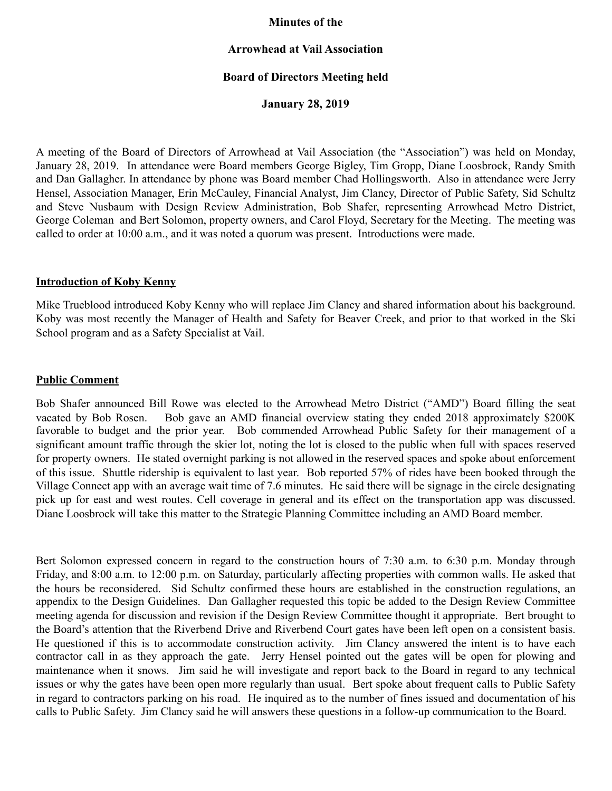### **Minutes of the**

### **Arrowhead at Vail Association**

### **Board of Directors Meeting held**

**January 28, 2019** 

A meeting of the Board of Directors of Arrowhead at Vail Association (the "Association") was held on Monday, January 28, 2019. In attendance were Board members George Bigley, Tim Gropp, Diane Loosbrock, Randy Smith and Dan Gallagher. In attendance by phone was Board member Chad Hollingsworth. Also in attendance were Jerry Hensel, Association Manager, Erin McCauley, Financial Analyst, Jim Clancy, Director of Public Safety, Sid Schultz and Steve Nusbaum with Design Review Administration, Bob Shafer, representing Arrowhead Metro District, George Coleman and Bert Solomon, property owners, and Carol Floyd, Secretary for the Meeting. The meeting was called to order at 10:00 a.m., and it was noted a quorum was present. Introductions were made.

### **Introduction of Koby Kenny**

Mike Trueblood introduced Koby Kenny who will replace Jim Clancy and shared information about his background. Koby was most recently the Manager of Health and Safety for Beaver Creek, and prior to that worked in the Ski School program and as a Safety Specialist at Vail.

#### **Public Comment**

Bob Shafer announced Bill Rowe was elected to the Arrowhead Metro District ("AMD") Board filling the seat vacated by Bob Rosen. Bob gave an AMD financial overview stating they ended 2018 approximately \$200K favorable to budget and the prior year. Bob commended Arrowhead Public Safety for their management of a significant amount traffic through the skier lot, noting the lot is closed to the public when full with spaces reserved for property owners. He stated overnight parking is not allowed in the reserved spaces and spoke about enforcement of this issue. Shuttle ridership is equivalent to last year. Bob reported 57% of rides have been booked through the Village Connect app with an average wait time of 7.6 minutes. He said there will be signage in the circle designating pick up for east and west routes. Cell coverage in general and its effect on the transportation app was discussed. Diane Loosbrock will take this matter to the Strategic Planning Committee including an AMD Board member.

Bert Solomon expressed concern in regard to the construction hours of 7:30 a.m. to 6:30 p.m. Monday through Friday, and 8:00 a.m. to 12:00 p.m. on Saturday, particularly affecting properties with common walls. He asked that the hours be reconsidered. Sid Schultz confirmed these hours are established in the construction regulations, an appendix to the Design Guidelines. Dan Gallagher requested this topic be added to the Design Review Committee meeting agenda for discussion and revision if the Design Review Committee thought it appropriate. Bert brought to the Board's attention that the Riverbend Drive and Riverbend Court gates have been left open on a consistent basis. He questioned if this is to accommodate construction activity. Jim Clancy answered the intent is to have each contractor call in as they approach the gate. Jerry Hensel pointed out the gates will be open for plowing and maintenance when it snows. Jim said he will investigate and report back to the Board in regard to any technical issues or why the gates have been open more regularly than usual. Bert spoke about frequent calls to Public Safety in regard to contractors parking on his road. He inquired as to the number of fines issued and documentation of his calls to Public Safety. Jim Clancy said he will answers these questions in a follow-up communication to the Board.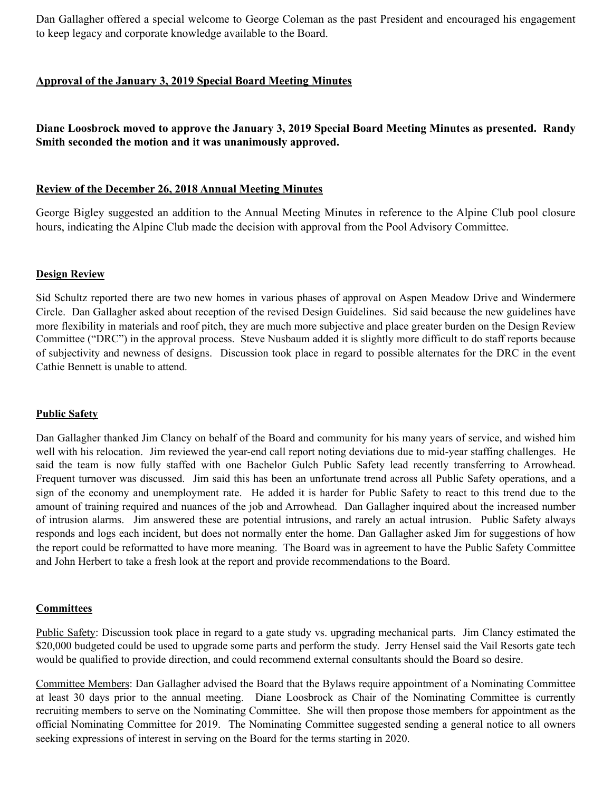Dan Gallagher offered a special welcome to George Coleman as the past President and encouraged his engagement to keep legacy and corporate knowledge available to the Board.

## **Approval of the January 3, 2019 Special Board Meeting Minutes**

# **Diane Loosbrock moved to approve the January 3, 2019 Special Board Meeting Minutes as presented. Randy Smith seconded the motion and it was unanimously approved.**

### **Review of the December 26, 2018 Annual Meeting Minutes**

George Bigley suggested an addition to the Annual Meeting Minutes in reference to the Alpine Club pool closure hours, indicating the Alpine Club made the decision with approval from the Pool Advisory Committee.

#### **Design Review**

Sid Schultz reported there are two new homes in various phases of approval on Aspen Meadow Drive and Windermere Circle. Dan Gallagher asked about reception of the revised Design Guidelines. Sid said because the new guidelines have more flexibility in materials and roof pitch, they are much more subjective and place greater burden on the Design Review Committee ("DRC") in the approval process. Steve Nusbaum added it is slightly more difficult to do staff reports because of subjectivity and newness of designs. Discussion took place in regard to possible alternates for the DRC in the event Cathie Bennett is unable to attend.

#### **Public Safety**

Dan Gallagher thanked Jim Clancy on behalf of the Board and community for his many years of service, and wished him well with his relocation. Jim reviewed the year-end call report noting deviations due to mid-year staffing challenges. He said the team is now fully staffed with one Bachelor Gulch Public Safety lead recently transferring to Arrowhead. Frequent turnover was discussed. Jim said this has been an unfortunate trend across all Public Safety operations, and a sign of the economy and unemployment rate. He added it is harder for Public Safety to react to this trend due to the amount of training required and nuances of the job and Arrowhead. Dan Gallagher inquired about the increased number of intrusion alarms. Jim answered these are potential intrusions, and rarely an actual intrusion. Public Safety always responds and logs each incident, but does not normally enter the home. Dan Gallagher asked Jim for suggestions of how the report could be reformatted to have more meaning. The Board was in agreement to have the Public Safety Committee and John Herbert to take a fresh look at the report and provide recommendations to the Board.

#### **Committees**

Public Safety: Discussion took place in regard to a gate study vs. upgrading mechanical parts. Jim Clancy estimated the \$20,000 budgeted could be used to upgrade some parts and perform the study. Jerry Hensel said the Vail Resorts gate tech would be qualified to provide direction, and could recommend external consultants should the Board so desire.

Committee Members: Dan Gallagher advised the Board that the Bylaws require appointment of a Nominating Committee at least 30 days prior to the annual meeting. Diane Loosbrock as Chair of the Nominating Committee is currently recruiting members to serve on the Nominating Committee. She will then propose those members for appointment as the official Nominating Committee for 2019. The Nominating Committee suggested sending a general notice to all owners seeking expressions of interest in serving on the Board for the terms starting in 2020.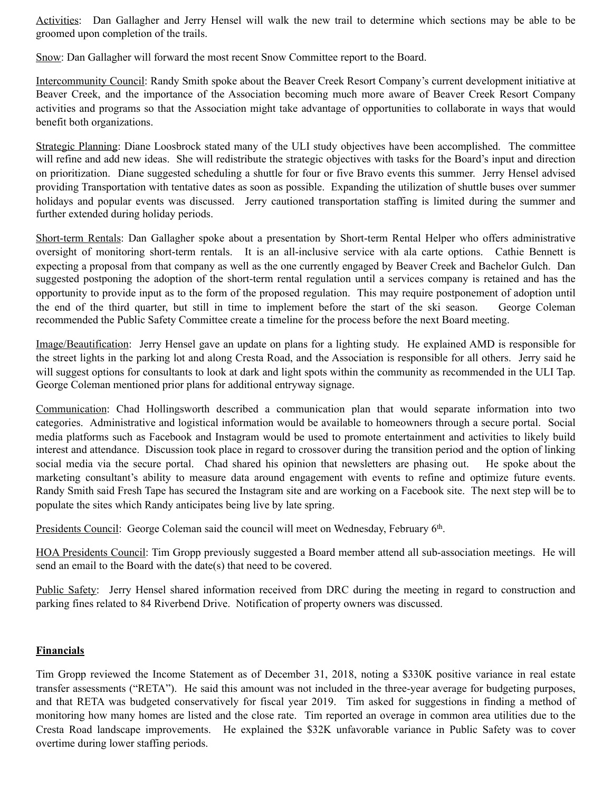Activities: Dan Gallagher and Jerry Hensel will walk the new trail to determine which sections may be able to be groomed upon completion of the trails.

Snow: Dan Gallagher will forward the most recent Snow Committee report to the Board.

Intercommunity Council: Randy Smith spoke about the Beaver Creek Resort Company's current development initiative at Beaver Creek, and the importance of the Association becoming much more aware of Beaver Creek Resort Company activities and programs so that the Association might take advantage of opportunities to collaborate in ways that would benefit both organizations.

Strategic Planning: Diane Loosbrock stated many of the ULI study objectives have been accomplished. The committee will refine and add new ideas. She will redistribute the strategic objectives with tasks for the Board's input and direction on prioritization. Diane suggested scheduling a shuttle for four or five Bravo events this summer. Jerry Hensel advised providing Transportation with tentative dates as soon as possible. Expanding the utilization of shuttle buses over summer holidays and popular events was discussed. Jerry cautioned transportation staffing is limited during the summer and further extended during holiday periods.

Short-term Rentals: Dan Gallagher spoke about a presentation by Short-term Rental Helper who offers administrative oversight of monitoring short-term rentals. It is an all-inclusive service with ala carte options. Cathie Bennett is expecting a proposal from that company as well as the one currently engaged by Beaver Creek and Bachelor Gulch. Dan suggested postponing the adoption of the short-term rental regulation until a services company is retained and has the opportunity to provide input as to the form of the proposed regulation. This may require postponement of adoption until the end of the third quarter, but still in time to implement before the start of the ski season. George Coleman recommended the Public Safety Committee create a timeline for the process before the next Board meeting.

Image/Beautification: Jerry Hensel gave an update on plans for a lighting study. He explained AMD is responsible for the street lights in the parking lot and along Cresta Road, and the Association is responsible for all others. Jerry said he will suggest options for consultants to look at dark and light spots within the community as recommended in the ULI Tap. George Coleman mentioned prior plans for additional entryway signage.

Communication: Chad Hollingsworth described a communication plan that would separate information into two categories. Administrative and logistical information would be available to homeowners through a secure portal. Social media platforms such as Facebook and Instagram would be used to promote entertainment and activities to likely build interest and attendance. Discussion took place in regard to crossover during the transition period and the option of linking social media via the secure portal. Chad shared his opinion that newsletters are phasing out. He spoke about the marketing consultant's ability to measure data around engagement with events to refine and optimize future events. Randy Smith said Fresh Tape has secured the Instagram site and are working on a Facebook site. The next step will be to populate the sites which Randy anticipates being live by late spring.

Presidents Council: George Coleman said the council will meet on Wednesday, February 6th.

HOA Presidents Council: Tim Gropp previously suggested a Board member attend all sub-association meetings. He will send an email to the Board with the date(s) that need to be covered.

Public Safety: Jerry Hensel shared information received from DRC during the meeting in regard to construction and parking fines related to 84 Riverbend Drive. Notification of property owners was discussed.

### **Financials**

Tim Gropp reviewed the Income Statement as of December 31, 2018, noting a \$330K positive variance in real estate transfer assessments ("RETA"). He said this amount was not included in the three-year average for budgeting purposes, and that RETA was budgeted conservatively for fiscal year 2019. Tim asked for suggestions in finding a method of monitoring how many homes are listed and the close rate. Tim reported an overage in common area utilities due to the Cresta Road landscape improvements. He explained the \$32K unfavorable variance in Public Safety was to cover overtime during lower staffing periods.